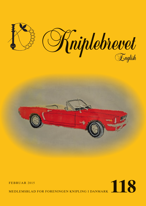





MEDLEMSBLAD FOR FORENINGEN KNIPLING I DANMARK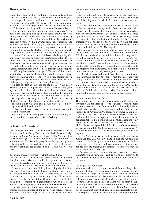## **Dear members**

Happy New Year to all of you. I hope you have had a god and pleasant Christmas and, that you came well into the new year.

A new year has started, and, since it is our anniversary year, it is also a special one. It is 30 years ago this year that our association was started in September 1985 by a group of lacemakers. This was a fantastic good idea that we still enjoy today.

How are we going to celebrate an anniversary year? The board has thought it over again and again, and we have (we think) been creative. We start the celebration on the Yearly Meeting already, on Saturday, March 14th in Borgerforeningens Hus, Nyborg. We have arranged some entertainment, and we have decided that Kim Sjøgren shall give us a lecture and a musical element before the evening arrangement. See the program for the Yearly Meeting on the grey pages, incl. workshops, lectures, entertainment and the evening event. But the celebration does not stop there, this is only the beginning. Our anniversary pin goes on sale at this meeting, something to look forward to, as it is different from the pin of 2014. The pattern, which supports Julemærkehjemmene, also goes on sale on this day and Helle Schultz is the designer thisyear. A special anniversary pattern, which will be on sale through Knipleshoppen in 2015 only, has also been designed. The sale of this pattern also starts at the Yearly Meeting. Later on this year, in Kniplebrevet no. 120, we will present for you a very special pattern, which you can look forward to. We will also decide on a winner of the yearly competition on our Yearly Meeting.

We also brought up the idea for the batch for the Yearly Meeting in the last Kniplebrevet – a hat. Since we three years ago revived the idea with a batch, we have received many funny, nice, exciting and unusual ideas about how to make the batch in lace. We look forward to see your ideas also this year.

We hope that very many of you will participate in the Yearly Meeting. The Board really looks forward to meet you.

The next fair, in which we take part, is Kniplemessen in Viborg on April 18th and 19th, 2015.

At last, I would like to wish you all a good spring season with lots of nice lacework.

We look forward to seeing you at our Yearly Meeting and the General Meeting on March 14th in Nyborg.

## **A fantastic Adventure**

On Thursday November 13 2014 textile conservator Katia Johansen at Rosenborg Castle, Karen Marie Iversen, design coordinator Sonja Andersen, and I went to The Yellow Palace of Amalienborg Castle. We had obtained the great honor to be allowed to see Her Royal Majesty Queen Margrethe's private collection of laces. This collection must be one of the largest and most distinguished collection of laces. And why were we here?

#### *The events preceding our visit to Amalienborg Castle*

On April 14 2011 the royal twins Price Vincent and Princess Josephine were christened. On that background the press had written extensively about how her Royal Majesty had solved the problem about the christening robes of the children.

It was expected that the little prince, being the first born twin, was christened in the historical christening robe, which was originally made for Christian X's christening in 1870. This robe was also worn by the twins' siblings, Prince Christian and Princess Isabella, by their father Crown Prince Frederik, their uncle Prince Joachim, their grandmother Queen Margrethe, and her two younger sisters Benedikte and Anne-Marie.

But what was the little princess then to wear. Queen Margrethe, the grandmother of the royal twins, solved Frederik and Mary's dilemma regarding what to do when you have two children to be christened and only one royal christening gown.

Her Royal Majesty chose to go exploring in the royal treasures and found in her late mother, Queen Ingrid's belongings the christening robe, in which the little princess was christened.

It is uncertain how this robe came to be in the possession of Queen Ingrid. According to the Court it is surmised that Queen Ingrid received the robe as a present in connection with the birth of Princess Margrethe. This assumption is shared by Katia Johansen, textile conservator at Rosenborg Castle. Her estimate is that the textile of the robe, the lace and fine embroidery date the robe to the year of 1940. Katia Johansen has written an article to Kniplebrevet on the royal christening robes, see Kniplebrevet No, 106, page 7.

This publicity on private collections of laces stirred our curiosity about what was hidden in this collection. In the fall of 2011 I wrote to the Court Administration with a request if it might be possible to see a single or a few pieces from this collection, preferable some laces which Her Majesty the Queen had chosen herself. I received answer from the Court Administration, that due to the pressures of time in connection with the Majesty's 40th anniversary as a Monarch, it could not be fitted in right now, but they would get back to us.

In May 2014 I received a mail from the Court Administration informing me that the boxes with the laces had been brought out, and now was the opportunity to see them. Now our resources came to a test. After some mail correspondance among the board members, we found some helpers. We needed someone who knew a lot about laces. The first person asked could not find the time, but Karen Marie Iversen had both the time and the desire to help us, for which we are grateful.

#### *The visit to Amalienborg Castle*

The viewing was to take place in cooperation with textile conservator Katie Johansen at Rosenborg Castle. When the team was set, we contacted the Court Administration and jointly we found a date for the visit. It was scheduled for Thursday November 13 at 9:30 am. On Wednesday November 12 Sonja left Ikast and stayed over with Karen Marie in Greve. Thursday at 6:00 am I left home as experience shows that the trip to Copenhagen takes quite a while in the morning. There are really many cars on the road as well as a lot of construction work, so I left early. We had agreed that I should be in Greve at 8:00 am so that we could take the train as a group to Copenhagen. At 9:15 am we met Katia at The Yellow Palace, and we went in together.

At The Yellow Palace we met the same employee that we met in January 2012 when we handed over the Association's present to Her Majesty the Queen in the event of her jubilee. It was quite nice, for the employee remembered that we had handed over the present, quite fantastic. Read more about this in Kniplebrevet No. 106, page 12.

Afterwards we were taken to the reception where curator Elisabeth von Buchwald met us. She was to accompany us to the Christian IX's Palace and up to the 5th floor, where the laces were.

#### *Viewing the beautiful laces*

When we arrived at the room, two small boxes, a large chest and a plastic bag with laces were presented to us. We washed our hands, all rings and bracelets were removed, and now we were ready to unpack. Fortunately Katia was with us, she helped us be systematic and select what we specifically wanted to photograph and look closer at. There were so many beautiful and gorgeous laces that we could not look at and describe them all. We divided the work among us. Karen Marie opened one of the small boxes which contained handkerchiefs, meticuosly wrapped. There were handkerchiefs with many different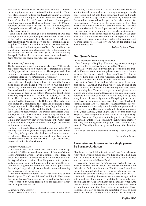lace borders, Tonder laces, Binche laces, Torchon, Christian IV laces, guipure, and some that could not be identified. There were also some embroidered handkerchiefs without lace. Some laces were known designs, but most were unknown designs. Some of the handkerchiefs wore embroidered monograms from three generations! The box contained a total of 107 handkerchiefs, one more fantastic than the next. In a coming issue of Kniplebrevet we will bring an article on handkerchiefs as well as more pictures.

Sonia and  $\overline{I}$  looked through a box containing shawls, lace collars, handkerchiefs, cuffs, lengths and borders of lace. Some of the packets wore content labels written in Her Majesty's neat handwriting. We chose a few for photographing and descriptions. The box contained a total of 62 packets and each packet contained at least to pieces of lace. The third box contained sundry items, i.e. a christening robe with petticoat. The christening robe was of the finest gauze, but unfortunately damaged. Besides the laces there were some embroidered items. Now for the plastic bag, what did that contain?

#### *The presence of the history*

The bag contained a chest, wrapped in silk paper. With the silk paper removed, the most beautiful chest materialized. It was carefully opened, its contents a secret. The surprise and admiration was enormous when the chest was opened: it contained Danmarks Store Hjerte (Denmark's Great Heart)

It was likehistory relived, we were all touched and we were struck with awe. Imagine being allowed to hold this fantastic piece of lace in your hands. For those of you who don't know the history, these were the magnificent laces presented to Queen Alexandrine at the reunion in 1920. The gift consisted of five pieces of lace in the pattern Denmark's Great Heart, measuring respectively 6.27 m, 6.12 m, 3.18 m, 2.8 m, and 6.1 m. The pieces were made by Hanne Mathiesen, Mimmi Lagoni, Grethe Sørensen, Gyda Hald, and Klara Aller and later joined in Copenhagen. The chest also contained a piece of paper upon which Her Majesty Queen Ingrid had written this story of the laces.It also said that the laces were returned the Haandarbejdets Fremme (The Danish Handicrafts Guild) upon Queen Alexandrine's death, however they were returned to Queen Ingrid in 1954. I checked with The Danish Handcraft Guild if they know why they were returned to the Court again in 1954. Unfortunately, they could find nothing in the archives, so it remains a mistery.

When Her Majesty Queen Margrethe was married in 1967, the long train of her gown was edged with Denmark's Great Heart, the gift her grandmother had received from the women of Schleswig. Queen Alexandrine herself mad laces, and at the Association's trip to Tonder in May 2014 , we saw her lace chest exhibited at Tonder Museum.

#### *Denmark's Great Heart*

It is assumed that an experienced lace maker spends approximately 300 hours to make one meter of Denmark's Great Heart. Denmark's Great Heart is a genuine Tonder lace. The tonder lace Denmark's Great Heart is 9.3 cm wide and with the typical characteristics: Chantilly ground with spots of leadwork, honeycomb and linenwork. Furthermore, the even Cumberland edge on one side of the lace, on the opposite side the scalloped edge with picots and ladder hemstitch framing the various parts of the pattern.

Last time Denmark's Great Heart was used was at Her Royal Higness The Crown Princess' wedding in 2004, where the Crown Princess' handkerchief was edged with a lace made for the occasion by Astrid Hansen. You can read more about this in Kniplebrevet No. 76.

### *Conclusion of the meeting*

We had two and a half hours to review all these fantastic laces,

so we only studied a small fraction, as time flew. When the allotted time drew to a close, everything was wrapped in silk paper again and put into their respective boxes and chests. When the time was up, we were collected by Elisabeth von Buchwald and escorted to the gate to the palace square. We were exceedingly "high" after this experience. In the palace court we said our farewells to Katia and took the train back to Karen Marie's in Greve. Upon arrival in Greve we talked our experiences through and agreed on what articles can be written based on our experiences, so we can share this great event with our members. Therefore, you can expect the coming magazines to bring more pictures and articles from our visit. A great thanks to Her Majesty The Queen for making this adventure possible.

*Written by Lone Nielsen*

#### **Our Queen's laces**

I have experienced something wonderful.

Our Queen gave Knipling i Danmark a great opportunity – the possiblility to see lace belonging to Her Majesty.

Her Majesty the Queen invited four persons from the Danish bobbinlace world into her private quarters in order for us to see the Queen's private collection of laces. The four of us were: Lone Nielsen, Sonja Andersen and the conservator Katja Johannesen, and I was invited as number four.

We met in front of the Yellow Palæ and were from there brought into Christian IX's Palæ, where they, in one of the living-quarters, had brought out several big and small boxes, all containing lace. There were large and small pieces of lace, lengths and widths, mounted lace, and a box containing handkerchiefs. I was allowed to look into that box, take up, hold in my hands….It was a big moment. Everything from modest little laces to formidable ones, everything from Torchon to Flemish, Tønder lace etc. edged those handkerchiefs. Interesting was also the wonderfully embroidered monograms, with or without the crown. There were handkerchiefs with monograms from Queen Louise, Queen Ingrid and of course, from Our Majesty, Queen Margrethe - a wide spectrum through history.

Lone, Sonja and Katja studied the larger pieces of lace, and one could hear lots of 'Oh, look, how beautiful' from their corner. They saw, among other things, gold lace, a wonderful big shawl in Chantilly, a baptism gown and many other beautiful things.

All in all, we had a wonderful morning. Thank you very much.

*Karen Marie Iversen*

# **Lacemaker and laceteacher in a single person. By Susanne Andersen**

''I only regret, that I did not start earlier'', was Arne Maarup's reply when I visited him in order to find out, what had made him so interested in lace that he decided to take the lace teacher education with Karen Trend.

I have many times seen Arne's lace on Facebook, many of which have been his own design – and, being curious by nature, I decided to find out a little more. The first time I met Arne, was at the Annual Meeting in Nyborg in February this year, where it was obvious, that lace was close to this man's hart.

When first entering his roomy apartment on Amager, it does not immediately look like it is inhabited by somebody interested in lace, but Arne says, it has been cleaned up. When Arne finds his folders from the bobbinlace education classes, there is no doubt in my mind, that I am visiting a perfectionist. I have seldom seen folders so orderly and painstakingly neat as these. Pretty fast though, the signs of his interest for playing with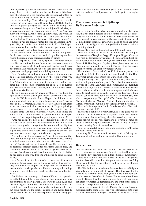threads, shows up. I get his story over a cup of coffee. Arne has always been creative, and he has, besides his job, a little business where he sews logos, nametags etc. for people. For this, he uses an embroidery machine, which also needs a skilled hand.

Arne has a college, Tove, who kept urging him to try bobbinlace, but years went by, until he one day in 2008 felt, that the time was right for giving it a try. Do you know the feeling when you do something for the first time and it just clicks? Many of us have experienced this sensation, and so has Arne. Also, like many other people, Arne sucks up knowledge, and when he, on Kniplings-festivalen I Tønder 2010, came past the booth of the Bobbinlace Education, he took a little folder home. The temptation was too big, he started his trips to Horsens in August 2011, and handed in his final project in 2013. The biggest temptation for him had been, that he would get in touch with many classical types of lace during the education.

Arne had chosen to make a bookmark for his final project for the lace-teacher education, inspired by a Portuguese lace where the middle was a spider, encircled by gimps.

Arne is especially fascinated by Tønder – and Gravenmoer lace. He has tried to find out how males can incorporate the daily use of lace in 2014, and found out that he would make bookmarks. The bookmark can look very different, depending upon colors and gimps used, and this inspires him.

Arne found pencil and paper when I asked him from where he got his inspiration. Do you know the feeling, when you attend a meeting and the hand starts to scribble on its own? Arne's hand does this, sometimes it amounts to nothing and other times it becomes something for an idea to go further with. He showed me some sketches, and I look forward to seeing them worked in lace.

To be a rookie, does not mean anything, if you have the right teacher. Before starting the teacher education, Arne took classes in FOF Tårnby with Anette Kappel. In addition, he has a life-line, which many of us could be envious about. Tove, his college, has a brother, married to Holger Møller's daughter. Arne has therefore had access to many of Holger's prickings , work-sheets, sketches and notes, and also inherited part of Holger's large lace book collection. Holger Møller joined the editorial staff of Kniplebrevet no.6, became editor by Kniplebrevet no.8 and kept this position past Kniplebrevet no.30.

Arne has decided to help some of Holger's laces to live on, so they can be available for lacemakers in the future. This means, among other things, that he has started the big task of coloring Holger's work-sheets, as many prefer to work using colored sheets now a days. Arne's opinion is also that the work-sheets are most important when making lace.

Not unlike most lace makers, is Arne of the opinion, that there are not enough hours in a day. The time for lace making is limited, when work and other interests also have to be taken care of. Arne tries to use his time with care. He uses much time on learning different techniques and tricks used in lace, and studies old and new lace books, in order to gain experience doing lace. Arne has not made lace for a long time, but feels that he has come a long way. But one will never be done learning, he says.

Arne's class from the lace teacher education still meets a couple of times every year in Horsens, and on this occasion they continue, with support and help from Karen Trend, to extend their knowledge about bobbinlace, among other things different types of lace not taught in the teacher education classes.

Bobbinlace has become part of Arne's life, and he hopes that he in the future will have more time for lace making and more opportunities to draw patterns. The curious thing is, he says, that drawing for him during the education, was an almost impossible task, and he never thought that patterns would come out of his hands. But the teacher education and Karen Trend's stories about the task and the inspiration when drawing patterns, did cause that he, a couple of years later, started to make patterns, and also found pleasure and challenge in creating his own.

# **The cultural element in Hjallerup. By Susanne Andersen**

It is very important for Peter Sørensen, when he invites to his fair, that the stand holders and the exhibitors also get something cultural out of it. The trip went to Voergaard castle this time, located in Voer county, in the southeast of Vendsyssel. Being a history teacher, I could write page up and page down about it, but I will get a hold on myself – but I have to tell you something about it.

The castle is built in the period from 1481 until 1590.

From the owners of the castle, I will mention the bishop of the monastery of Børglum, Stygge Krumpen, Skipper Clement, who with his farmers army conquered Voergaard, and last, but not at least, Karen Krabbe, who got the castle transfered from Frederik II. Her daughter, Ingeborg Skeel, later took over the place and was known to be a tyrant. This might be the reason that she became the ghost of Voergaard Castle.

The minister of external affairs, Erik Scavenius, owned the castle from 1914 to 1945, and it was later bought by the Danish-French count, Ejnar Oberbeck-Clausen, in 1955.

He got, through marriage, the unique and very fine art collection, still present on Voergaard. The collection contains for ex. work of Raphael, El Greco and Rubens, and also furniture from Ludvig IV, Ludvig VI and Marie-Antoinette. Besides this, there is flatware with Napoleon's monogram and sideboards equal to sideboards in Versailles and in the Louvre. I think, most of you have heard about the art-theft on March 8th, 2008, where two paintings, "Den gale" (The Insane) by Goya, and "Portræt af Maria af Medici" (Portrait of Maria de Medici) by Rubens was stolen, but this is not verified by art historians.

The castle belongs to a family foundation after Oberbeck-Clausen's death in 1963.

The castle is definitely a visit worth, also if the guide will not be Peter, who is a wonderful storyteller. Time flies together with a person, that so willingly share his knowledge and interest for his subject. The visit seemed to be over in no time, but that was also for the good, because we were starting to long for the food waiting for us in Kulturhuset.

After a wonderful dinner and good company, both heads and feet seemed exhausted.

Awaiting 2017, we can look forward both to Viborg and Tønder, and before we know, we meet in Hjallerup again.

# **Binche Lace**

Our association has from Els Goor in The Netherlands received prickings and worksheets for us to practice Binche lace. You get the first practice piece in this edition of Kniplebrevet . There will be more practice pieces in the next magazines, and the class will end with a little pattern for you to do. A big 'thank you' to Els for the patterns, and we wish you all good luck in trying it out.

The Binche Lace is called after the town Binche in Belgium, situated about 50 km. south of Brussels. The story says that the lace and its technique were brought to Binche in the 15th century by woman from Gent in France. The woman should have come to Binche together with countess Mary of Bourgogne, daughter of Charles Le Temeraire, but the truth of the story is doubtful, as no proofs are to be found about this.

Binche has its roots in the old Flemish laces and looks almost identical to some lace of the type Valencienne, both when it comes to structure and style. The oldest existing and charac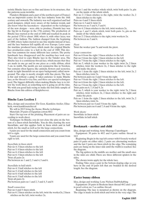teristic Binche laces are so fine and dense in its structure, that the patterns seem invisible.

Flanders (Belgium and a part of the northern part of France) was an important centre for the lace industry from the 16th century and onwards. The industry was well organized and had good designers, which were aware of the fashion trends, and also knew what the lacemakers – dependent on the techniques of the new designs – were able to produce. Flemish lace was the big hit in Europe in the 17th century. The production of Binche lace started at the end of 1600 and reached its peak in the period 1750 to about 1800, where it, with other laces, was part of the fashion. The fashion changed from the beginning of 1800, where ladies started to use fine muslin instead of lace, and the lace business fell rapidly all over Europe. Later came the machine produced laces, which made the original Binche lace production come to a halt in the end of 1800. This destiny was common for many different lace centers. The pretty handmade lace disappeared and the machine-lace took over. They also tried to copy Binche lace in the Tønder area. The Binche lace is a continuous thread lace, which means that they are made in one go and in one piece as a wide ribbon, often 5 cm. in width. The motifs are not symmetric like in Torchon, but contains often figures, like animals, flowers and sceneries, made in tight linenstich on an open background, called snowground. The edge is mostly straight with fine picots. The lace is flat and without a gimp. It takes patience to make Binche lace, as the thread is very fine, and there are special techniques used. The biggest difficulty when making Binche lace is to follow the work sheet, as something new is going on all the time. We wish you good luck trying to make the first little sample of Binche from this edition of Kniplebrevet.

# **Binche Lace Lection 1**

Idea, design and execution: Els Goor, Kantklos Atelier, Elisabeth, www.kantklosatelier.nl

We will in 2015 bring the theme, Binche technique.

Materials: 29 pairs of Egyptian cotton 80/2

Start: On top row of the pricking. Placement of pairs are according to work-sheet.

Technique: In Binche, you do not close the pins on the bottom of a linen-stitch Snowflake. You do this, starting the next Snowflake, and this applies both in linen stitch and in half stitch, for the small as well as for the large connections.

6 pairs are used for the small connection and you count from left to right.

9 pairs are used for the large connection and you count from right to left.

### *Snowflake in linen stitch:*

Pair no 4: 3 linen stitches to the left Pair no 5: 4 linen stitches to the left Pair no 6: 4 linen stitches to the left Pair no 6: 3 linen stitches to the left Twist all pairs 2x Pin between no 1 and 2, 3 and 4, 5 and 6.

### *Snowflake in half stitch:*

Pair no 4: 3 half stitches to the left Pair no 5: 4 half stitches to the left Pair no 6: 4 half stitches to the left Pair no 6: 3 half stitches to the left Twist all pairs 2x Pin between pairs no 1 and 2, 3 and 4, 5 and 6

### *Small connection:*

Pair no 4 and 5: linen stitch.

Pair no 6: 2 linen stitches on the left, twist the worker2x, 2 linen stitches on the left, twist worker 2x.

- Pair no 1 and the worker: whole stitch, twist both pairs 1x, pin on the inside of the whole stitch.
- Pair no 2: 2 linen stitches to the right, twist the worker 2x, 2 linen stitches to the right.

Pairs no 4 and 5: linen stitch

- Pairs no 4, 5 and 6: twist 2x
- Pin between no 3 and 4, 5 and 6.
- Pair no 4: 2 linen stitches to the left, twist workers 2x.
- Pairs no 1 and 2: whole stitch, twist both pairs 1x, pin on the inside of the whole stitch.
- Pair no 2: 2 linen stitches to the right, twist workers 2x. Pin between no 3 and 4.

#### *Picot:*

Twist the worker pair 7x and work the picot.

#### *Large connection:*

Pair no 6 from the right: 3 linen stitches to the left

- Pair no 5 from the right: 3 linen stitches to the left
- Pair no 7 from the right. 2 linen stitches to the right.
- Pair no 5, which is your worker to the right: twist 2x, 2 linen stitches, twist the workers 2x, 2 linen stitches to the right and make the picot.
- Pair no 1 from the right: 2 linen stitches to the left, twist 2x, 2 linen stitches, twist 2x.
- Pin between pairs no 4 and 5 from the right.
- Pair no 5 from the right. 2 linen stitches to the left.

Pair no 6 from the right: 2 linen stitches to the left.

- Pair no 5 from the right: 2 linen stitches to the left.
- Twist pairs no  $6, 7, 8$  and  $9, 2x$
- Pair no 5, which is your worker to the right: twist 2x, 2 linen stitches, twist workers 2x, 2 linen stitches to the right and make the picot.
- Pair no 1 from the right: 2 linen stitches to the left, twist 2x, 2 linen stitches, twist 2x.

Pin between pair no 4 and 5 from the right.

Pin between pairs no 6 and 7, 8 and 9 from the right.

*Work sheets:*

Snowflake in linen stitch Snowflake in half stitch

# **Bookmark – mother and child**

Idea, design and working: Arne Maarup, Copenhagen

Equipment: 30 pairs in 40/2 and 6 pairs outline thread in 16/2

Beginning: Begin in the top left corner with 8 loosely worked pairs (4 pairs on either side). 2 pairs are alternating workers and the last 2 pairs are linen stitch in the edge. The remaining pairs are hung on the inner side until the width is reached. See the diagram.

The big spiders in the middle are mother and the small ones in the sides are child. There are three different spiders in the sides.

The shown twists apply for the whole lace.

Ending: Take away a pair in the bottom sloping edge so you have in the end 10 pairs left that are braided in the desired length. See the diagram.

## **Easter bunny ribbon**

Idea, design and working: Lone Nielsen Stubbekøbing

Equipment: 20 pairs in Bockens linen thread 40/2 and 1 pair in pearl cotton no. 5 as outline thread.

Beginning: The lace is mounted as shown on the diagram. The edge is made in cloth stitch and twist in the very edge. The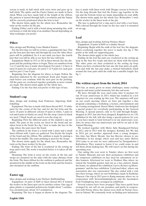reseau is made in half stitch with extra twist and goes up in half stitch. The spider and the Easter bunny are made in linen stitch. When you have made half of the length of the ribbon, the pattern is turned through half a revolution and the bunny will be correctly positioned when the bow is tied.

The shown twists apply for the whole lave. Remember the twist on the worker by the pin.

Ending: Either end it with a braid along mounting line, with reef knots or with the help of an auxiliary thread depending on what technique you prefer.

## **Pillow**

Idea, design and Working: Lone Mankof Jensen

For the first time we will try to have a quadripartite lace. You get the first part this time and through the year the other three parts will be published. So it is not until you have the fourth part that you will be able to see how the lace will look.

Equipment: Made in 35/2 or 182 in linen thread. See the diagram and the pricking where to begin. There are numbers from 1 to 13 and the lace is made chorological. For parts 1-4 there is used 10 pairs for each part, for parts 5-12 9 pairs for each part and for part 13 use 8 pair.

Beginning: See the diagram for where to begin. Follow the direction indicated by the arrowhead. Each part begins and ends before you continue with the next part on the pricking. All the parts are crocheted together gradually as more rounds are made. The shown twists apply for the whole lace.

Ending: Use the way that you prefer to this type of lace.

### **Student's cap**

Idea, design and working: Joan Pedersen, Algestrup, Stubbekøbing

Equipment: The lace is made with linen thread 40/2. 33 white pairs for the crown of the hat, and for the hat brim and the curve 18 pairs in different colours (9 pairs in white, 5 pairs in red and 6 pairs in black) are used. For the strap 3 pairs in black are used. 2 black beads are used to sew the strap on.

Beginning: First the different parts of the student's cap are made. The pairs in the crown are fixed in the braid and are taken from in the braid. See fig. 1 how to make the lace in the edge where the pairs meet the braid.

The emblem in the front is a braid with 2 pairs and a small linen ribbons with 3 pairs are gathered. You decide the length of the braid and the ribbon. The emblem is made by putting a bead in the middle. The same pricking is used for the straps.

The shown twists apply for the whole lace. Remember the twist on the linen worker by the pin.

Ending: The brim of the hat is crocheted in the setting up loop and is tied. The work is starched before it is taken off the pillow.

Mounting: The brim is sewn on the crown of the hat and straps are mounted on the sides with the same distance from the brim. The linen ribbon for the emblem is gathered and the mounted in the middle in the front on the brim and the braid is also mounted on the emblem.

## **Easter egg**

Idea, design and working: Lone Nielsen, Stubbekøbing

Equipment: 16 pairs of K80 or linen thread 60/2 if wanted the worker in the linen spot can be another colour. One egg of glass, plastic or expanded polysterene, height about 7 centimetres, circumference about 14.5 centimetres.

Beginning: The lace is begun as shown in the diagram. The

lace is made with linen work with Dieppe reseau in between. On the long threads that tied the Easter egg together in the top and the bottom twists are made depending on your skills. The shown twists apply for the whole lace. Remember 1 twist on the worker in the linen work at the pin.

The lace is gathered for a ring and is tied with a reef knot. Pull a thread through the loops on the lace and it is mounted on an egg.

## **Leaf**

Idea, design and working: Solveig Nielsen, Maare

Equipment: 10 pairs in K80 or a similar thread

Beginning: Begin with the stalk of the leaf. See the diagram. When crocheting together the nerve is made. See fig. 2. The pricks at the stalk are supporting pins.

The shown twists apply to the whole lace.

Ending: In the leaf the pairs are crocheted in the setting up loop in the first five loops and then tie them with flat knots. The other pairs are then crocheted in the setting up loop. When you have crocheted the last one, the four pairs are gathered and with the last pair make a twisted buttonhole stitch around the four pairs until the stalk has a suitable length. See fig. 1.

## **The written report from the board, 2014**

2014 has, as usual, given us many challenges, many exciting projects and many joyful moments, but also sad news.

We have, through the year, used some time to prepare for our 30 year anniversary in 2015, which has resulted in a few surprises for you coming up this year. The surprises will start on our yearly meeting, where we have put together a fine program containing a workshop, a lecture, entertainment and an evening arrangement. Karen Marie Andersen has designed a special project for everybody participating in the General Meeting. A special pattern, only to be sold through Knipleshoppen in 2015, has also been designed. Kniplebrevet no. 120, published in the fall, will also bring a special pattern for you, so you have much to look forward to in our anniversary year. Also, be aware that our anniversary pin will be on sale at the Annual Meeting.

We worked together with Mette Julie Bundgaard-Nielsen in 2012, and in 2013 with the designer, Katinka Sol. We did, in 2014, get yet another approach from a young designer, this time Aja Marie Skyum. Aja has likevise chosen to use bobbinlace in her design, where seal and lace unite. Before 2014 came to an end, we were addressed by Designskolen I København. They wanted to know if we could come in and tell them about making lace. We will report on this during the upcoming year.

Our outing this year went to Tønder, where we first went to Tønder Museum and saw their permanent exhibition and the temporary exhibition on lace used for adornment on ladies bonnets. Afterward we went to Drøhses Hus, where we visited the beautiful garden, laid out as a lace pattern. Inside the house, we admired the exhibition 'Løver, Kroner og Monogrammer' and the lace exhibition 'I tråd med tiden', where our association also was represented. The day ended with a visit into their storage, where we saw bobbinlace made by Kathrine Thuesen. Our trip in 2015 goes to Køng museum, where we, in cooperation with Storestrømskniplerne and the lacemakers from Vordingborg, have arranged an exhibition.

Several courses have been arranged. They have partly been arranged by our self on our premises, and partly in cooperation with Netop, where the classes were held on Netop's location in Odense. We constantly work on finding new instructors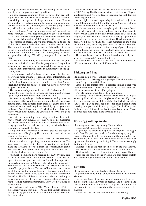and topics for our courses. We are always happy to hear from you, if you are in possession of a good idea.

We have received an inquiry from Norway, as they are looking for lace teachers. We have collected information on members willing to accept this challenge, and sent it on to Norway. We hope that a good cooperation between us can come out of this. We also hope, that members, who succeed in going to Norway, will tell about their experience in Kniplebrevet.

We have hosted Åbent hus on our premises. This event has come to stay, as it is well supported, and we get lots of visitors. It is so nice, that so many of you like to come by. We did a new thing for Årets knipledag in 2014. A little pattern was sent out to the persons in charge, and we encouraged them to let one of their lace makers make this pattern on this particular day. They would then send in a picture of the finished lace, in order to show how different a piece of lace may look, depending upon thread or mounting. Thank you to everybody for having accepted this challenge. We will try to repeat the success this year.

We visited Amalienborg in November. We had the great honor to be invited to see Her Majesty Queen Margrethe's collection of lace, which was a wonderful experience for us. Articles about this visit will occur in Kniplebrevet in the upcoming year.

Our homepage had a 'make-over'. We think it has become clearer and more dynamic. It contains more information, and it is easier to find around. We talked about laying patterns out for downloading every three months, on our last Annual Meeting, but time has been too short. We have, however, not dropped the idea yet.

The News - mail-group, which we talked about at the last Annual Meeting, has been formed, and some members have signed up, but it is room for more people to join.

We have through the year had much contact with pattern designers from other countries, and we hope that also you have noticed that. Some patterns from these designers have been presented to you, and they have hopefully given you some challenges. We still have some left, which will be published in Kniplebrevet in the future, and you can look forward to good challenges.

We will, as something new, bring technique-themes in Kniplebrevet. Our thoughts are that we in some magazines first bring technique samples for you to practice, and at last bring a pattern for you to do. We start the year with the Binche technique, provided by Els Goor.

A big thank you to everybody who sent pictures and reports to us from Årets Knipledag. The amount of contributions has been overwhelming.

Our reconstruction group works hard on reconstructing bobbin lace where no pricking and/or work sheet exist. The lace makers, connected to the reconstruction group, try to make the lace handed to them from the reconstruction group. The reconstruction group and the joining lace makers do a great job, which we are very grateful for.

Julemærkehjemmene have received kr. 12304,00 from sale of the Christmas heart that Bettina Brandt-Lassen has designed for us. We got two patterns for sale for support of Julemærkehjemmene in 20KøngHelle Schultz has designed a wonderful star, and Anette Thomsen has designed a new version of her popular hearts. The sale of both patterns starts, as usual, the day of the Annual Meeting. Our association thanks Bettina Brandt-Lassen, Helle Schultz and Anette Thomsen for this effort. The Board likes to call upon others to design patterns, which can be sold in order to support the children and youth, visiting Julemærkehjemmene. They are in big need of contributions.

We had some sad news in 2014. We lost Karin Hoffritz , a big capacity within bobbinlace. We also lost Lisbeth Højkilde, through many years our association's librarian. All honor to their memories.

We have already decided to participate in following fairs in 2015: Viborg Husflids messe, Viborg kniplemesse, Slagelse kniplemesse, and Kreative Dage i Fredricia. We look forward to meeting you there.

We are right now working on a big international project, but you will hear more about this at the Annual Meeting, as things have not fallen completely into place yet.

The board wants to thank everybody that has contributed with articles, good ideas, input and especially with patterns to Kniplebrevet. Thank you to all our translators of German and English, and a thank you to the reconstruction group and their lace makers, you are all doing a great job. The chairman of the board would like to thank the other members of the board for a good year, for a very good and constructive cooperation, where cooperation and brainstorming of good ideas goes hand-in-hand. The spirit of our meetings has always been good and positive. Everybody works hard for our association.

The whole Board thanks all our voluntaries, who help us on all levels – we couldn't do it without you.

By December 31st, 2014, we had 1620 Danish members and 220 members abroad, all in all, 1840 members.

## **Påskeæg med blad**

Ide, design og udførelse: Solveig Nielsen, Måre

Materialer: Til påskeægget bruges 6 par K80 eller en tilsvarende tråd og 8 par K80 til bladet.

Start: Bladet kniples først og derefter kniples ægget. Ved sammenhæklingen kniples nerven. Se. fig. 2. Prikkerne ved stilken er støttenåle. Se arbejdstegningen.

De viste snoninger gælder for hele kniplingen.

Afslutning: I bladet hækles parrene i startløkken i de 5 først løkker og binder dem af med belgisk knuderække. Og de andre par hækles også i startløkken. Når I har hæklet den sidste, samles de 4 par og med det sidste par laves knaphulssting omkring de 4 par, indtil kanten på ægget. Her hækles parret fra kanten med det par der er lavet knaphulssting med. Ægget afsluttes også med belgisk knuderække. Se fig. 1

## **Easter egg with square dot**

Idea, design and working: Solveig Nielsen, Maare

Equipment: 6 pairs in K80 or similar thread

Beginning: See where to begin in the diagram. The egg is made first. The pairs are crocheted in the setting op loop. The reseau is then made with the worker and the inner edge pair. The reseau is made with four strand-braid and Picot as well as square dot. See the diagram in fig. 1. The shown twists apply for the whole lace.

Ending: Tie it, end it with flat knots or in the way that you prefer. The lace is starched before it is taken off the pillow.

The lace is here used as decoration to an egg cosy. The pattern for the egg cosy is on the pricking. Cut four pieces of cloth and sew them together and then mount the lace on it.

# **Butterfly**

Idea, design and working: Linda V. Olsen, Harndrup

Equipment: 6 pairs in K80 or 60/2 linen thread and 1 pair in Madeira

Beginning: Begin at the star with all seven pairs lying on a pin. See on the diagram where to begin. Make cloth stitch and twist in both sides of the lace. All the pairs continue all the way round in the lace. Also where they are not shown on the diagram.

Ending: All the pairs are tied with flat knots. See fig. 1.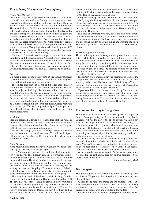# **Trip to Køng Museum near Vordingborg**

#### *Friday May 15th, 2015*

Our annual trip goes to Hørvævsmuseet this year. The arrangement will be a little different from previous years, as we have decided to include a workshop in the trip this time. The price will be kr. 150,- for members and kr. 200,- for non-members. The price includes: Guided tour of the museum, workshop, a light lunch including drinks, and at the end of the day, coffee and cake. Transport is not included, and you have to get to the museum on your own. In addition comes the price for materials and patterns for the workshop. We have room for 14 people only for this arrangement, where the 'first come, first served' principle is used. You can make a binding commitment by signing up on: formand@knipling-i-danmark.dk or by phone: 4050 4870 after 4 pm. Please, pay through our association's account no: 93380002132044, and label it: Køng.

Knipling i Danmark has, in cooperation with Storstrømskniplerne and the lacemakers in Vordingborg arranged exhibitions in the museum in the period from Palm Sunday, March 29th and for three months forwards. Please, look up the final dates at the museum's homepage: www.koengmuseum.dk . Old and new laces, lace tools and materials will be on display.

#### *Program:*

We meet in front of the ticket booth at the Hørvævsmuseum on March 15th at 9:50 am, and find our guide after having been provided with tickets from our association.

The guided tour starts at 10 am. and it takes approximately one hour. We shall see and hear about the museum itself and also the adjacent buildings, like the old folk's home and the hospital. We are able to see the museum on our own for about 30 minutes after the tour. In that time lunch will be prepared for us, and we will eat at 11:30 am. The workshop will start at 12:15 am. Inge Lindegaard will be our teacher. The theme will be Guldborgsundkniplinger – free-hand lace. Coffee with cake is served at 3 pm. The workshop ends at 4 pm. For people interested, Inge Lindegaard invites us to come inside and see Køng church afterwards.

#### *Workshop:*

Inge Lindegaard has found a free-hand lace that she wants us to try out. It is a reconstruction of a piece of lace from Stege museum. She also has a free-hand lace from Falster. They are both of the type Guldborgsundkniplinger.

For the workshop, you need to bring: Lacepillow with or without bolster and the usual lace-tools. You will need 16 pairs of linen thread 35/2, 28/2 or 50/3. It is a good idea to bring extra bobbins and thread.

#### *Køng Museum:*

Køng Museum is situated midway between Næstved and Vordingborg –in the cozy little village, Køng.

Køng Museum was originally the building of administration for Køng Fabrik. The museum contains a permanent exhibition on Niels Ryberg and the factory, but also hosts temporary theme-exhibitions. The village today, is a statement from a special point in time with the many buildings still standing from the earliest time of the factory's existence. The day we are visiting the museum, Knipling i Danmark hosts an exhibition on bobbinlace, lace tools and materials in cooperation with Storstrømskniplerne and the lacemakers in Vordingborg.

The merchant and philanthropist Niels Ryberg founded one of the first linen factories in Denmark at the end of 1700. The raw material – flax – should be grown in the very suitable soil in the surroundings of the factory, and workers should be found in the local population. In the next almost 150 years, the factory produced some of Denmark's very best linen textiles and became already in 1784 Purveyor to the Court, which means that they delivered all linen to the Royal Court – from ordinary tablecloths and towels to the most exclusive textiles for the Danish princesses' hope-chests.

Køng Museum's permanent exhibition tells the story about Niels Ryberg, the factory and its textiles, and shows examples of the factory's most exclusive tablecloths and napkins. The oldest example is a damask tablecloth from 1784, and among the latest pieces are napkins, made about 1900 for the Royal sailing-ship, Danebrog.

This area of Denmark was very poor, and one of the intentions by building the factory was to help raise the social level of the local population. The locals were working on growing and preparing the flax and on spinning and weaving the linen. The factory grew fast, and they had by 1800 already 400 employees.

#### *The spinning school in Køng*

The old spinning school in Køng is under protection today, and dates back to 1778. It was the very first building to be erected in connection with the establishment of the linen industry in Køng. In the spinning school, little girls between the age of 4 to 10, were taught to spin the finest thread for the factory's looms. It housed 40 girls at a time. The building housed not only the teaching facilities, but also an apartment for the teacher, who was called, 'the Spin-mother'.

The factory's fate was sealed in the beginning of 1900, as the competition from machine-driven looms proved too difficult, and they had to close. The last weaver of the factory in Vintersbølle was the German-born Gustav Hermann Schultze, and his loom can today be seen at Køng Museum.

If you would like to learn more about Køng Museum, there has, in the last couple of years, been produced a row of small movie-clips, where one can see many of the processes of producing linen from flax. You can find them on www.youtube. com where you look up Køng Museum. Have fun!

## **The annual lace day in Langeskov.**

There were many visitors at the market place in Langeskov Centret 30 August this year. It was the annual lace day but in Langeskov it was the day of the shops as well, which is a day when all the shops in the town show what they are doing.

Our stand was visited by many who wanted to know more about lace. Unfortunately we did not sell anything because there were some of the visitors who would have liked to buy something. A new participant for the lace course joined and is at the moment of writing in full swing.

We had a lovely day and we enjoyed having visitors who were of all ages. Particularly the elderly visitors admired our work. Many of them knew lace but only as trimmings or insertions. We hear that a lot. Therefore they admired the decorations and the useful objects that are made now today.

We are already looking forward to 29 August next year when it is time for the next annual lace day and we promise to be at Langeskov Centret again.

*Submitted by Ketty Busk*

# **Garden gate**

The garden gate of our recently acquired allotment garden was broken. We got the idea of having a frame made and then fill it with lace.

A good friend made the frame and we painted it white. But what were we going to fill it with? We spoke with our lovely lace teacher, Karen Høj, and she had of course many ideas. We decided on a spider web and a spider in the middle.

We got hold of an expanded polystyrene slab; we needed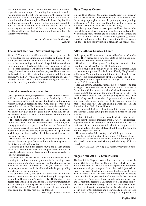two and they were spliced. The pattern was drawn on squared paper that was sellotaped. Then cling film was put on and it was mounted on the slab. On the inside of the frame we put eyes. We used acid proof line, thickness 1.3 mm, to the web and black linen thread for the spider. Karen had some big bobbins and then we measured. 2 bobbins in line were just enough to hold the thread. Hopefully we would not need to increase. A metal ring was the middle and then it was time to begin braiding. The result was satisfactory and we now have a garden gate that is very personal.

> *Greeting, Lise Davidsen and Annette Thomsen Lolland*

## **The annual lace day – Storstømskniplerne**

We met 8.30 am at the local library with our lace gear and pillows and lace for the exhibition. We greeted and hugged each other because many of us had not seen each other since the end of the lace meetings in the end of April. Tables and chairs were found and a lovely exhibition was made out of all the lace. People admired each other's work, and ideas were exchanged as well as ideas for new lace projects. Then it was time for breakfast and coffee before the exhibition and the library opened. We had a very nice day with lots of talking but unfortunately very few visited but those who visited got to hear a lot about lace and they saw the exhibition.

## **A small course is now a tradition**

Once again this year Nyborg Husflidsskole (handicrafts school) held the combined glass and lace course. Previously the focus has been on jewellery but this year the teacher of the course, Kirsten Kock, had decided to make Christmas decoration. We have followed her on Facebook as she made the models and we were many who looked forward to make them ourselves. I was on the first glass and lace glass in November 2010 but unfortunately I have not been able to attend since then but this year I had the time.

The participants were locals but also from Zealand and Jutland and many come back year after year. Apparently, combining glass and lace appeals to us. I myself am fascinated by how round a piece of glass can become even if it is not carved neatly. Not all the red lines are markings from felt tips. Once in a while a plaster is needed but the finished work is worth the work and the cuts.

The course does not require many skills as long as you are patient, clever with your hands and are able to imagine what the finished result will look like.

When we go home in the afternoon, we are all very excited because no one knows what will happen when the glass is burned as glass is an amorphous material, which means that its structure is irregular.

We begin with the lace around noon Saturday and we are all planning to continue when we get home in the evening. However, we are often too tired to actually do that. Sunday we are able to see the result of the burning. This year there was only a single angle that had lost its head but with the help of grinding and glue she was made whole.

We end with coffee, cake and talk about what to do next year and there are many ideas: birds with wings in lace perhaps inspired by Hanne Sonne's winter birds, 3D Christmas trees, hearts, perhaps a bell, or a toadstool. It is only our imagination and our ability to cut the glass that are the limits. The dates 21 and 22 November 2015 are already in my calendar when it is once again time to play with glass and thread.

*Greetings Sussane Andersen*

## **Hans Tausens Center**

On the 11 of October the annual private view took place at Hans Tausen Centret in Birkende. It is an annual event when the artist group begins the year by putting up new paintings in the centre. At the same time the other working groups are invited to exhibit and show what they are doing.

The lace group, of course, participates and has a little exhibition while some of us are making lace. It is a nice day with a welcoming speech, champagne and snacks. In the lottery the prizes are allotted products, paintings, lace, jewellery, painted porcelain and lots of other things from the different groups. All day long nice, soft live music is played in the background.

## **Altar cloth for Gravlev Church**

In the spring of 2013, we were contacted by Gravlev Church's board. They wished for a new altar cloth in bobbinlace in replacement for an old, embroidered one.

The church board had gotten founding for a new altar cloth from the today closed Gravlev Husflidsforening.

After a couple of meetings, we decided that a sample should be made of the pattern 'Renhed' from Karelly Knipleservice in Horsens. We would then mount it to a piece of cloth so everybody could get an impression of what it would look like.

The pattern was accepted, and we could get cloth and linen thread, 35/3 from Karelly.

Inge Andersen, Støvring, started the 3,35 meter long lace in August . She also finished in the fall of 2013. Else Marie Frederiksen, Vadum, sewed the altar cloth and also made two pieces of cloth for the altar top during the spring of 2014.The three pieces of cloth were washed in boiling water three times for shrinkage. At the same time, Inge made and mounted two napkins in bobbinlace, one for the oblate dish and one for the chalice. She used the tape-lace edging, pattern no. 414, and linen thread no. 80/2 of Aase Nilsson.

Inge mounted the lace to the altar cloth in the early summer and Gravlev Church could put the finished pieces on the altar in August.

A little initiation ceremony was held after the service, where first the former treasurer from Gravlev Husflidsforening spoke about their thoughts behind the donation, then the chairman of the church board told about the progress of the work and at last, Else Marie talked about the symbolism in the bobbinlace piece 'Renhed'.

The day ended with kransekage and a little glass of vine.

Inge has used 900 meter of thread and 250 hours of work, and Else Marie used 65 hours. It has been an exciting project with good cooperation and with a good 'finishing off' in the church.

*Inge Andersen, Støvring, Else Marie Frederiksen, Vadum*

### **Slagelse fair 2014 By Lone Nielsen**

The lace fair in Slagelse occurred, as usual, on the last weekend in October. But this was the only thing which was usual about this year's fair. All the stands were placed on a different location from all previous years. It was impossible just to head over to the sales stand we were aiming for, because, this year we had to find it first. This was a bit confusing for the visitors, but on another hand, we also found other stands, than the ones we came for. There were three Danish exhibitors this year, and a beautiful decorated Christmas tree. The three exhibitors were Else Marie Bjerregård with her wonderful things, and the use of lace in everyday things. Else Marie had applied lace in glows without fingers and a scarf, really nice use of lace. Kirsten Skov had jolly things on display, like pillpows in the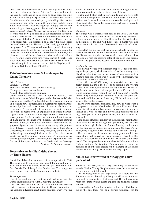finest lace, teddy-bears and a ladybug. Among Kirsten's things, there were also some hearts. Patterns for those will later in the year be published in book form by Tune garn, hopefully at the fair in Viborg in April. The last exhibitor was Bettina Brandt-Lassen, who had made pretty wild things. She had for ex. decorated her rubber boots with bobbinlace, and also made a door mat in lace – real exciting ways to apply lace. Or, how about a bag for holding your bobbins, made in lace out of old cassette tapes? Solveig Nielsen had decorated the Christmas tree this year. Solveig had made all the decorations in bobbinlace, and there were in fact decorations on the tree from all the sales stands at the fair. A big and fantastic job. Finely – and not to be forgeotten – an exhibition of all the Viking ships from the year's competition. The fantasy had really gotten wild on this project. The Vikings would have been proud of so many wonderful ships. It was, besides visiting the stands, buying the things we could not live without and see the exhibitions, a big pleasure to see all the nice lace our visitors and stand holders were wearing. There were hats, vests, scarves, brooches and much more. It is wonderful to see lace in use and showed off.

We already look forward to the next fair in Slagelse, which will be on October 24thand 25th, 2015.

## **Kein Weihnachten ohne Schwiebbogen by Galina Tihonova**

Price: 5 Euro

Language: German

Publisher: Schuster Druck GmbH, Nürnberg

Homepage: www.ariana-online.de A-mail: kloeppeln@ariana-online.de

Galina Tihonova makes it clear in her new booklet, 'Kein Weihnachten ohne Schwiebbogen' that bobbinlace and Christmas belongs together. The booklet has 40 pages, and contains 11 'hovering bow'- patterns. It is in Germany in particular that we see figurines and bows in wood in which bobbinlace can be mounted. These wooden figurines are the main theme of this book. It begins with an explanation of where Schwiebbogen comes from, then a little explanation on how one can make patterns for them, and at last, but not at least, there are 11 hand-drawn prickings with different Christmas motives. The thread used, is mostly 35/2 and several metal threads and gimps. 6-15 pairs are used, there are many sewings, the patterns have different grounds, and the motives are in linen stitch. Concerning the level of difficulty, everybody should be able toplay along, even though it does not have the colored work sheets that we like so much in our country. The prickings are of such good quality, that even though the explanations are in German, it is easy to understand the details with the drawings. *Rewieved by Susanne Andersen*

# **Decorative art for Husflidshøjskolen by Tinne Hansen**

Dansk Husflidsselskab announced in a competition in 1986. The topic was to make an adornment for an end wall in Storstuen of the new annex, which had just been built on to Den Danske Husflidshøyskole's Seminarium. The lounge was used as lunch room for the Seminarium's students.

### *The competition*

One of the conditions was that the wall had to be ready for Dansk Husflidsselskab's Annual Meeting in June, 1987.

To read the invitation for this competition was exciting, partly because I got my education in Home Economics on the Seminar in Kerteminde, but also because I was very active

Birthe and I often met in Kerteminde, and we were both interested in the project. We went to the lounge in the Seminarium, sat down and started to draw sketches and give each other good ideas. We ended up sending each our proposal to the competition.

### *Storstuen*

The lounge was a typical room built in the 1980's. The walls were white, curry-colored beams in the ceiling, Bordeauxcolored windows, dark red tiled floor and a blue-violet door in the middle of the end wall. Lots of green plants were also placed around in the room. Color-wise it was a bit of a challenge.

Important for me was that the art piece should be made in bobbinlace. Would this be possible, and what should it look like? It was essential, that the lace would connect all the colors, and also go with the massive color of the door. The organic forms of the green plants became an important inspiration.

### *Working the lace*

After having worked with different shapes, I ended up sending in the proposal, which was selected as the winning piece. Sketches, color ideas and a test piece of lace were sent in. Birthe's proposal, which was weaving with embroidery, was selected for one of the side walls.

Now, off to work! Obviously, the materials had to be of pretty coarse nature. I tried it out by spinning and twisting coarse linen threads, and found a suiting thickness. The carrying threads had to be of thicker quality, and different colored leaves in finer threads would be set in. I had about 8 months for finishing the lace, but at that time I also had two small children and a full-time job, so I was busy. Birthe helped me with some of the smaller pieces.

There were practical problems, like, how to work such a large piece of lace, and what kind of pillow could be used. I had a real big pillow with bolster made. It was not easy to work on though, as it was too high and my working position was bad. Legs were put on to the pillow board, and that worked out very well.

I made lace almost continually in the next eight months, that I had available. Birthe and I got the opportunity to use a small week in June, right before the Annual Meeting, in Storstuen for the purpose to mount, starch and hang the lace. We finished, hung it up, and it was initiated at the Annual Meeting.

The lace adorned Storstuen for many years, until it was taken down and moved to Husflidsmuseet. It has, like Den Danske Husflidshøjskole and Dansk Husflidsselskab, been closed. The lace piece became homeless. With help from Lone Nielsen, chairman for Knipling i Danmark, an agreement has been made, and the lace picture will be hanging in Skolen for kreativ fritid in Viborg, which makes me very happy.

# **Skolen for kreativ fritid in Viborg gets a new piece of art**

Saturday, April 18th, will be a very special day for Skolen for kreativ fritid in Viborg. Kniplemessen starts this day, and we are preparing for it, full speed.

On the background of the large amount of visitors last time Kniplemessen was hosted by Viborg, we will set up a tent for food and refreshments on that week-end. This will give extra room for exhibitors and guests, explains the principal, Kirsten Hansen.

Besides this, on Saturday morning, before the official opening of the fair, there will be a private vernissage for the